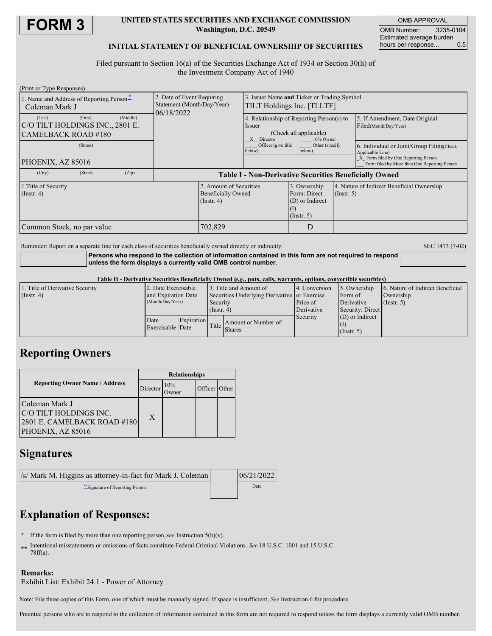

### **UNITED STATES SECURITIES AND EXCHANGE COMMISSION Washington, D.C. 20549**

OMB APPROVAL OMB Number: 3235-0104 Estimated average burden<br>hours per response... 0.5 hours per response...

## **INITIAL STATEMENT OF BENEFICIAL OWNERSHIP OF SECURITIES**

Filed pursuant to Section 16(a) of the Securities Exchange Act of 1934 or Section 30(h) of the Investment Company Act of 1940

| (Print or Type Responses)                                        |         |          |                                                                        |                                                                          |                                                                           |                                                                                  |             |                                                                                                                                                       |  |
|------------------------------------------------------------------|---------|----------|------------------------------------------------------------------------|--------------------------------------------------------------------------|---------------------------------------------------------------------------|----------------------------------------------------------------------------------|-------------|-------------------------------------------------------------------------------------------------------------------------------------------------------|--|
| 1. Name and Address of Reporting Person-<br>Coleman Mark J       |         |          | 2. Date of Event Requiring<br>Statement (Month/Day/Year)<br>06/18/2022 |                                                                          | 3. Issuer Name and Ticker or Trading Symbol<br>TILT Holdings Inc. [TLLTF] |                                                                                  |             |                                                                                                                                                       |  |
| (Last)<br>C/O TILT HOLDINGS INC., 2801 E.<br>CAMELBACK ROAD #180 | (First) | (Middle) |                                                                        |                                                                          | Issuer<br>X Director                                                      | 4. Relationship of Reporting Person(s) to<br>(Check all applicable)<br>10% Owner |             | 5. If Amendment, Date Original<br>Filed(Month/Day/Year)                                                                                               |  |
| (Street)<br>PHOENIX, AZ 85016                                    |         |          |                                                                        |                                                                          | Officer (give title<br>Other (specify<br>below)<br>below)                 |                                                                                  |             | 6. Individual or Joint/Group Filing Check<br>Applicable Line)<br>X Form filed by One Reporting Person<br>Form filed by More than One Reporting Person |  |
| (City)                                                           | (State) | (Zip)    | <b>Table I - Non-Derivative Securities Beneficially Owned</b>          |                                                                          |                                                                           |                                                                                  |             |                                                                                                                                                       |  |
| 1. Title of Security<br>$($ Instr. 4 $)$                         |         |          |                                                                        | 2. Amount of Securities<br><b>Beneficially Owned</b><br>$($ Instr. 4 $)$ |                                                                           | 3. Ownership<br>Form: Direct<br>(D) or Indirect<br>$($ Instr. 5 $)$              | (Insert, 5) | 4. Nature of Indirect Beneficial Ownership                                                                                                            |  |
| Common Stock, no par value                                       |         |          |                                                                        | 702,829                                                                  |                                                                           | D                                                                                |             |                                                                                                                                                       |  |

Reminder: Report on a separate line for each class of securities beneficially owned directly or indirectly. SEC 1473 (7-02)

**Persons who respond to the collection of information contained in this form are not required to respond unless the form displays a currently valid OMB control number.**

#### Table II - Derivative Securities Beneficially Owned (e.g., puts, calls, warrants, options, convertible securities)

| 1. Title of Derivative Security | 2. Date Exercisable |                                       | 13. Title and Amount of                      |                     | 4. Conversion | 5. Ownership     | 6. Nature of Indirect Beneficial |  |
|---------------------------------|---------------------|---------------------------------------|----------------------------------------------|---------------------|---------------|------------------|----------------------------------|--|
| $($ Instr. 4)                   | and Expiration Date |                                       | Securities Underlying Derivative or Exercise |                     |               | Form of          | Ownership                        |  |
|                                 | (Month/Day/Year)    |                                       | Security                                     |                     | Price of      | Derivative       | $($ Instr. 5)                    |  |
|                                 |                     |                                       | $($ Instr. 4 $)$                             |                     | Derivative    | Security: Direct |                                  |  |
|                                 | Date                | <b>Expiration</b><br>Exercisable Date | Title                                        | Amount or Number of | Security      | (D) or Indirect  |                                  |  |
|                                 |                     |                                       |                                              |                     |               |                  |                                  |  |
|                                 |                     |                                       |                                              | <b>Shares</b>       |               | $($ Instr. 5 $)$ |                                  |  |

# **Reporting Owners**

|                                                                                              | <b>Relationships</b> |     |               |  |  |
|----------------------------------------------------------------------------------------------|----------------------|-----|---------------|--|--|
| <b>Reporting Owner Name / Address</b>                                                        | Director             | 10% | Officer Other |  |  |
| Coleman Mark J<br>C/O TILT HOLDINGS INC.<br>2801 E. CAMELBACK ROAD #180<br>PHOENIX, AZ 85016 | X                    |     |               |  |  |

# **Signatures**

| /s/ Mark M. Higgins as attorney-in-fact for Mark J. Coleman | 06/21/2022 |
|-------------------------------------------------------------|------------|
| "Signature of Reporting Person                              | Date       |

# **Explanation of Responses:**

- **\*** If the form is filed by more than one reporting person,*see* Instruction 5(b)(v).
- **\*\*** Intentional misstatements or omissions of facts constitute Federal Criminal Violations. *See* 18 U.S.C. 1001 and 15 U.S.C. 78ff(a).

### **Remarks:**

Exhibit List: Exhibit 24.1 - Power of Attorney

Note: File three copies of this Form, one of which must be manually signed. If space is insufficient, *See* Instruction 6 for procedure.

Potential persons who are to respond to the collection of information contained in this form are not required to respond unless the form displays a currently valid OMB number.